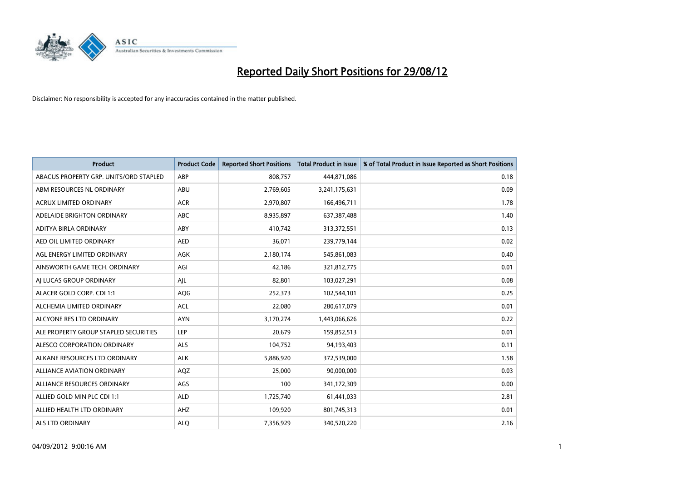

| <b>Product</b>                         | <b>Product Code</b> | <b>Reported Short Positions</b> | <b>Total Product in Issue</b> | % of Total Product in Issue Reported as Short Positions |
|----------------------------------------|---------------------|---------------------------------|-------------------------------|---------------------------------------------------------|
| ABACUS PROPERTY GRP. UNITS/ORD STAPLED | ABP                 | 808,757                         | 444,871,086                   | 0.18                                                    |
| ABM RESOURCES NL ORDINARY              | ABU                 | 2,769,605                       | 3,241,175,631                 | 0.09                                                    |
| <b>ACRUX LIMITED ORDINARY</b>          | <b>ACR</b>          | 2,970,807                       | 166,496,711                   | 1.78                                                    |
| ADELAIDE BRIGHTON ORDINARY             | <b>ABC</b>          | 8,935,897                       | 637,387,488                   | 1.40                                                    |
| ADITYA BIRLA ORDINARY                  | ABY                 | 410,742                         | 313,372,551                   | 0.13                                                    |
| AED OIL LIMITED ORDINARY               | <b>AED</b>          | 36,071                          | 239,779,144                   | 0.02                                                    |
| AGL ENERGY LIMITED ORDINARY            | <b>AGK</b>          | 2,180,174                       | 545,861,083                   | 0.40                                                    |
| AINSWORTH GAME TECH. ORDINARY          | AGI                 | 42,186                          | 321,812,775                   | 0.01                                                    |
| AI LUCAS GROUP ORDINARY                | AJL                 | 82,801                          | 103,027,291                   | 0.08                                                    |
| ALACER GOLD CORP. CDI 1:1              | AQG                 | 252,373                         | 102,544,101                   | 0.25                                                    |
| ALCHEMIA LIMITED ORDINARY              | <b>ACL</b>          | 22,080                          | 280,617,079                   | 0.01                                                    |
| ALCYONE RES LTD ORDINARY               | <b>AYN</b>          | 3,170,274                       | 1,443,066,626                 | 0.22                                                    |
| ALE PROPERTY GROUP STAPLED SECURITIES  | LEP                 | 20,679                          | 159,852,513                   | 0.01                                                    |
| ALESCO CORPORATION ORDINARY            | ALS                 | 104,752                         | 94,193,403                    | 0.11                                                    |
| ALKANE RESOURCES LTD ORDINARY          | <b>ALK</b>          | 5,886,920                       | 372,539,000                   | 1.58                                                    |
| ALLIANCE AVIATION ORDINARY             | AQZ                 | 25,000                          | 90,000,000                    | 0.03                                                    |
| ALLIANCE RESOURCES ORDINARY            | AGS                 | 100                             | 341,172,309                   | 0.00                                                    |
| ALLIED GOLD MIN PLC CDI 1:1            | <b>ALD</b>          | 1,725,740                       | 61,441,033                    | 2.81                                                    |
| ALLIED HEALTH LTD ORDINARY             | AHZ                 | 109,920                         | 801,745,313                   | 0.01                                                    |
| ALS LTD ORDINARY                       | <b>ALO</b>          | 7,356,929                       | 340,520,220                   | 2.16                                                    |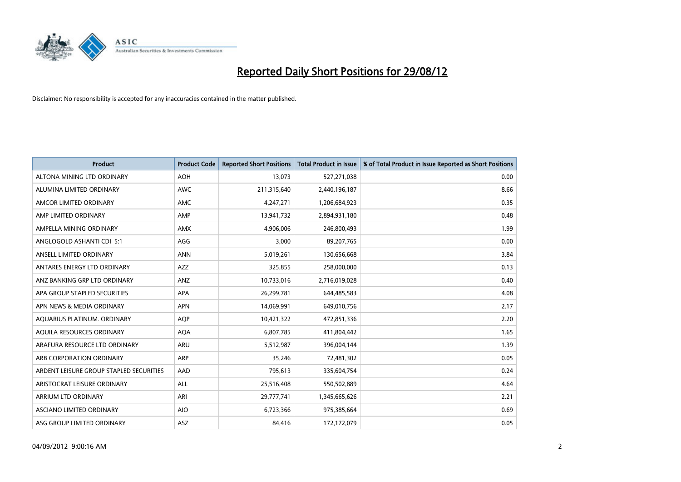

| <b>Product</b>                          | <b>Product Code</b> | <b>Reported Short Positions</b> | <b>Total Product in Issue</b> | % of Total Product in Issue Reported as Short Positions |
|-----------------------------------------|---------------------|---------------------------------|-------------------------------|---------------------------------------------------------|
| ALTONA MINING LTD ORDINARY              | <b>AOH</b>          | 13,073                          | 527,271,038                   | 0.00                                                    |
| ALUMINA LIMITED ORDINARY                | <b>AWC</b>          | 211,315,640                     | 2,440,196,187                 | 8.66                                                    |
| AMCOR LIMITED ORDINARY                  | AMC                 | 4,247,271                       | 1,206,684,923                 | 0.35                                                    |
| AMP LIMITED ORDINARY                    | AMP                 | 13,941,732                      | 2,894,931,180                 | 0.48                                                    |
| AMPELLA MINING ORDINARY                 | AMX                 | 4,906,006                       | 246,800,493                   | 1.99                                                    |
| ANGLOGOLD ASHANTI CDI 5:1               | AGG                 | 3,000                           | 89,207,765                    | 0.00                                                    |
| ANSELL LIMITED ORDINARY                 | <b>ANN</b>          | 5,019,261                       | 130,656,668                   | 3.84                                                    |
| ANTARES ENERGY LTD ORDINARY             | <b>AZZ</b>          | 325,855                         | 258,000,000                   | 0.13                                                    |
| ANZ BANKING GRP LTD ORDINARY            | ANZ                 | 10,733,016                      | 2,716,019,028                 | 0.40                                                    |
| APA GROUP STAPLED SECURITIES            | <b>APA</b>          | 26,299,781                      | 644,485,583                   | 4.08                                                    |
| APN NEWS & MEDIA ORDINARY               | <b>APN</b>          | 14,069,991                      | 649,010,756                   | 2.17                                                    |
| AQUARIUS PLATINUM. ORDINARY             | <b>AOP</b>          | 10,421,322                      | 472,851,336                   | 2.20                                                    |
| AQUILA RESOURCES ORDINARY               | <b>AQA</b>          | 6,807,785                       | 411,804,442                   | 1.65                                                    |
| ARAFURA RESOURCE LTD ORDINARY           | ARU                 | 5,512,987                       | 396,004,144                   | 1.39                                                    |
| ARB CORPORATION ORDINARY                | ARP                 | 35,246                          | 72,481,302                    | 0.05                                                    |
| ARDENT LEISURE GROUP STAPLED SECURITIES | AAD                 | 795,613                         | 335,604,754                   | 0.24                                                    |
| ARISTOCRAT LEISURE ORDINARY             | <b>ALL</b>          | 25,516,408                      | 550,502,889                   | 4.64                                                    |
| <b>ARRIUM LTD ORDINARY</b>              | ARI                 | 29,777,741                      | 1,345,665,626                 | 2.21                                                    |
| <b>ASCIANO LIMITED ORDINARY</b>         | <b>AIO</b>          | 6,723,366                       | 975,385,664                   | 0.69                                                    |
| ASG GROUP LIMITED ORDINARY              | <b>ASZ</b>          | 84,416                          | 172,172,079                   | 0.05                                                    |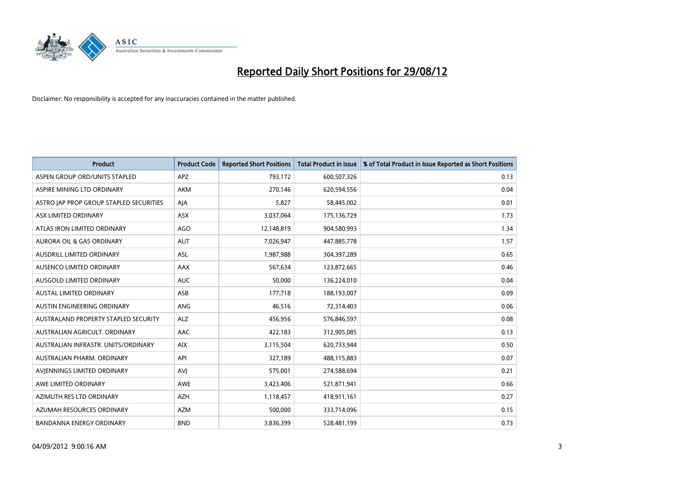

| <b>Product</b>                              | <b>Product Code</b> | <b>Reported Short Positions</b> | <b>Total Product in Issue</b> | % of Total Product in Issue Reported as Short Positions |
|---------------------------------------------|---------------------|---------------------------------|-------------------------------|---------------------------------------------------------|
| ASPEN GROUP ORD/UNITS STAPLED               | <b>APZ</b>          | 793,172                         | 600,507,326                   | 0.13                                                    |
| ASPIRE MINING LTD ORDINARY                  | <b>AKM</b>          | 270,146                         | 620,594,556                   | 0.04                                                    |
| ASTRO JAP PROP GROUP STAPLED SECURITIES     | AJA                 | 5,827                           | 58,445,002                    | 0.01                                                    |
| ASX LIMITED ORDINARY                        | ASX                 | 3,037,064                       | 175,136,729                   | 1.73                                                    |
| ATLAS IRON LIMITED ORDINARY                 | AGO                 | 12,148,819                      | 904,580,993                   | 1.34                                                    |
| <b>AURORA OIL &amp; GAS ORDINARY</b>        | <b>AUT</b>          | 7,026,947                       | 447,885,778                   | 1.57                                                    |
| AUSDRILL LIMITED ORDINARY                   | <b>ASL</b>          | 1,987,988                       | 304,397,289                   | 0.65                                                    |
| AUSENCO LIMITED ORDINARY                    | AAX                 | 567,634                         | 123,872,665                   | 0.46                                                    |
| AUSGOLD LIMITED ORDINARY                    | <b>AUC</b>          | 50,000                          | 136,224,010                   | 0.04                                                    |
| <b>AUSTAL LIMITED ORDINARY</b>              | ASB                 | 177,718                         | 188,193,007                   | 0.09                                                    |
| AUSTIN ENGINEERING ORDINARY                 | ANG                 | 46,516                          | 72,314,403                    | 0.06                                                    |
| <b>AUSTRALAND PROPERTY STAPLED SECURITY</b> | <b>ALZ</b>          | 456,956                         | 576,846,597                   | 0.08                                                    |
| AUSTRALIAN AGRICULT. ORDINARY               | AAC                 | 422,183                         | 312,905,085                   | 0.13                                                    |
| AUSTRALIAN INFRASTR. UNITS/ORDINARY         | <b>AIX</b>          | 3,115,504                       | 620,733,944                   | 0.50                                                    |
| AUSTRALIAN PHARM, ORDINARY                  | API                 | 327,189                         | 488,115,883                   | 0.07                                                    |
| AVIENNINGS LIMITED ORDINARY                 | AVI                 | 575,001                         | 274,588,694                   | 0.21                                                    |
| AWE LIMITED ORDINARY                        | AWE                 | 3,423,406                       | 521,871,941                   | 0.66                                                    |
| AZIMUTH RES LTD ORDINARY                    | <b>AZH</b>          | 1,118,457                       | 418,911,161                   | 0.27                                                    |
| AZUMAH RESOURCES ORDINARY                   | <b>AZM</b>          | 500,000                         | 333,714,096                   | 0.15                                                    |
| <b>BANDANNA ENERGY ORDINARY</b>             | <b>BND</b>          | 3,836,399                       | 528,481,199                   | 0.73                                                    |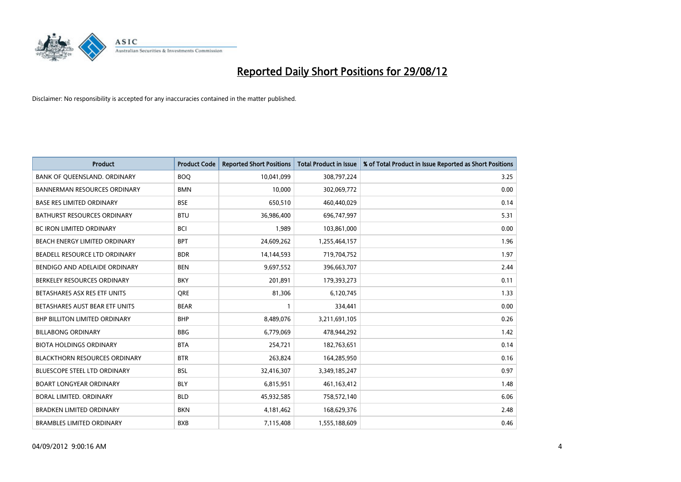

| <b>Product</b>                       | <b>Product Code</b> | <b>Reported Short Positions</b> | <b>Total Product in Issue</b> | % of Total Product in Issue Reported as Short Positions |
|--------------------------------------|---------------------|---------------------------------|-------------------------------|---------------------------------------------------------|
| BANK OF QUEENSLAND. ORDINARY         | <b>BOQ</b>          | 10,041,099                      | 308,797,224                   | 3.25                                                    |
| <b>BANNERMAN RESOURCES ORDINARY</b>  | <b>BMN</b>          | 10,000                          | 302,069,772                   | 0.00                                                    |
| <b>BASE RES LIMITED ORDINARY</b>     | <b>BSE</b>          | 650,510                         | 460,440,029                   | 0.14                                                    |
| BATHURST RESOURCES ORDINARY          | <b>BTU</b>          | 36,986,400                      | 696,747,997                   | 5.31                                                    |
| BC IRON LIMITED ORDINARY             | <b>BCI</b>          | 1,989                           | 103,861,000                   | 0.00                                                    |
| BEACH ENERGY LIMITED ORDINARY        | <b>BPT</b>          | 24,609,262                      | 1,255,464,157                 | 1.96                                                    |
| BEADELL RESOURCE LTD ORDINARY        | <b>BDR</b>          | 14,144,593                      | 719,704,752                   | 1.97                                                    |
| BENDIGO AND ADELAIDE ORDINARY        | <b>BEN</b>          | 9,697,552                       | 396,663,707                   | 2.44                                                    |
| BERKELEY RESOURCES ORDINARY          | <b>BKY</b>          | 201,891                         | 179,393,273                   | 0.11                                                    |
| BETASHARES ASX RES ETF UNITS         | <b>ORE</b>          | 81,306                          | 6,120,745                     | 1.33                                                    |
| BETASHARES AUST BEAR ETF UNITS       | <b>BEAR</b>         |                                 | 334,441                       | 0.00                                                    |
| <b>BHP BILLITON LIMITED ORDINARY</b> | <b>BHP</b>          | 8,489,076                       | 3,211,691,105                 | 0.26                                                    |
| <b>BILLABONG ORDINARY</b>            | <b>BBG</b>          | 6,779,069                       | 478,944,292                   | 1.42                                                    |
| <b>BIOTA HOLDINGS ORDINARY</b>       | <b>BTA</b>          | 254,721                         | 182,763,651                   | 0.14                                                    |
| <b>BLACKTHORN RESOURCES ORDINARY</b> | <b>BTR</b>          | 263,824                         | 164,285,950                   | 0.16                                                    |
| BLUESCOPE STEEL LTD ORDINARY         | <b>BSL</b>          | 32,416,307                      | 3,349,185,247                 | 0.97                                                    |
| <b>BOART LONGYEAR ORDINARY</b>       | <b>BLY</b>          | 6,815,951                       | 461,163,412                   | 1.48                                                    |
| BORAL LIMITED. ORDINARY              | <b>BLD</b>          | 45,932,585                      | 758,572,140                   | 6.06                                                    |
| <b>BRADKEN LIMITED ORDINARY</b>      | <b>BKN</b>          | 4,181,462                       | 168,629,376                   | 2.48                                                    |
| <b>BRAMBLES LIMITED ORDINARY</b>     | <b>BXB</b>          | 7,115,408                       | 1,555,188,609                 | 0.46                                                    |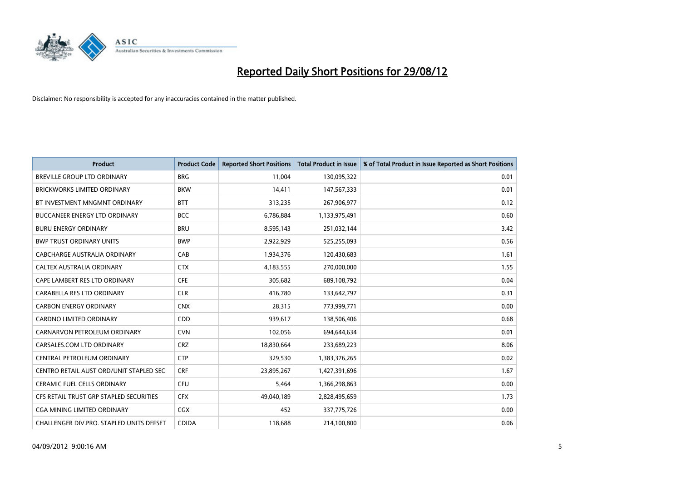

| <b>Product</b>                           | <b>Product Code</b> | <b>Reported Short Positions</b> | <b>Total Product in Issue</b> | % of Total Product in Issue Reported as Short Positions |
|------------------------------------------|---------------------|---------------------------------|-------------------------------|---------------------------------------------------------|
| <b>BREVILLE GROUP LTD ORDINARY</b>       | <b>BRG</b>          | 11,004                          | 130,095,322                   | 0.01                                                    |
| BRICKWORKS LIMITED ORDINARY              | <b>BKW</b>          | 14,411                          | 147,567,333                   | 0.01                                                    |
| BT INVESTMENT MNGMNT ORDINARY            | <b>BTT</b>          | 313,235                         | 267,906,977                   | 0.12                                                    |
| BUCCANEER ENERGY LTD ORDINARY            | <b>BCC</b>          | 6,786,884                       | 1,133,975,491                 | 0.60                                                    |
| <b>BURU ENERGY ORDINARY</b>              | <b>BRU</b>          | 8,595,143                       | 251,032,144                   | 3.42                                                    |
| <b>BWP TRUST ORDINARY UNITS</b>          | <b>BWP</b>          | 2,922,929                       | 525,255,093                   | 0.56                                                    |
| CABCHARGE AUSTRALIA ORDINARY             | CAB                 | 1,934,376                       | 120,430,683                   | 1.61                                                    |
| CALTEX AUSTRALIA ORDINARY                | <b>CTX</b>          | 4,183,555                       | 270,000,000                   | 1.55                                                    |
| CAPE LAMBERT RES LTD ORDINARY            | <b>CFE</b>          | 305,682                         | 689,108,792                   | 0.04                                                    |
| CARABELLA RES LTD ORDINARY               | <b>CLR</b>          | 416,780                         | 133,642,797                   | 0.31                                                    |
| <b>CARBON ENERGY ORDINARY</b>            | <b>CNX</b>          | 28,315                          | 773,999,771                   | 0.00                                                    |
| <b>CARDNO LIMITED ORDINARY</b>           | CDD                 | 939,617                         | 138,506,406                   | 0.68                                                    |
| CARNARVON PETROLEUM ORDINARY             | <b>CVN</b>          | 102,056                         | 694,644,634                   | 0.01                                                    |
| CARSALES.COM LTD ORDINARY                | <b>CRZ</b>          | 18,830,664                      | 233,689,223                   | 8.06                                                    |
| CENTRAL PETROLEUM ORDINARY               | <b>CTP</b>          | 329,530                         | 1,383,376,265                 | 0.02                                                    |
| CENTRO RETAIL AUST ORD/UNIT STAPLED SEC  | <b>CRF</b>          | 23,895,267                      | 1,427,391,696                 | 1.67                                                    |
| <b>CERAMIC FUEL CELLS ORDINARY</b>       | <b>CFU</b>          | 5,464                           | 1,366,298,863                 | 0.00                                                    |
| CFS RETAIL TRUST GRP STAPLED SECURITIES  | <b>CFX</b>          | 49,040,189                      | 2,828,495,659                 | 1.73                                                    |
| <b>CGA MINING LIMITED ORDINARY</b>       | <b>CGX</b>          | 452                             | 337,775,726                   | 0.00                                                    |
| CHALLENGER DIV.PRO. STAPLED UNITS DEFSET | <b>CDIDA</b>        | 118,688                         | 214,100,800                   | 0.06                                                    |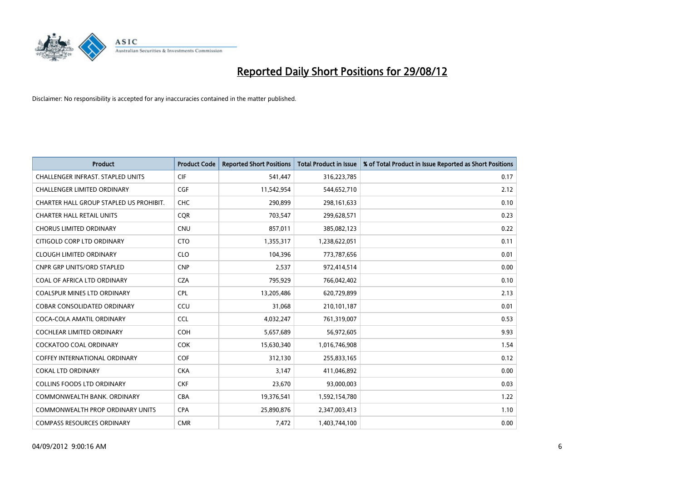

| <b>Product</b>                           | <b>Product Code</b> | <b>Reported Short Positions</b> | <b>Total Product in Issue</b> | % of Total Product in Issue Reported as Short Positions |
|------------------------------------------|---------------------|---------------------------------|-------------------------------|---------------------------------------------------------|
| <b>CHALLENGER INFRAST, STAPLED UNITS</b> | <b>CIF</b>          | 541,447                         | 316,223,785                   | 0.17                                                    |
| CHALLENGER LIMITED ORDINARY              | <b>CGF</b>          | 11,542,954                      | 544,652,710                   | 2.12                                                    |
| CHARTER HALL GROUP STAPLED US PROHIBIT.  | <b>CHC</b>          | 290.899                         | 298,161,633                   | 0.10                                                    |
| <b>CHARTER HALL RETAIL UNITS</b>         | <b>CQR</b>          | 703,547                         | 299,628,571                   | 0.23                                                    |
| <b>CHORUS LIMITED ORDINARY</b>           | <b>CNU</b>          | 857,011                         | 385,082,123                   | 0.22                                                    |
| CITIGOLD CORP LTD ORDINARY               | <b>CTO</b>          | 1,355,317                       | 1,238,622,051                 | 0.11                                                    |
| <b>CLOUGH LIMITED ORDINARY</b>           | <b>CLO</b>          | 104,396                         | 773,787,656                   | 0.01                                                    |
| CNPR GRP UNITS/ORD STAPLED               | <b>CNP</b>          | 2,537                           | 972,414,514                   | 0.00                                                    |
| COAL OF AFRICA LTD ORDINARY              | <b>CZA</b>          | 795,929                         | 766,042,402                   | 0.10                                                    |
| <b>COALSPUR MINES LTD ORDINARY</b>       | <b>CPL</b>          | 13,205,486                      | 620,729,899                   | 2.13                                                    |
| COBAR CONSOLIDATED ORDINARY              | CCU                 | 31,068                          | 210,101,187                   | 0.01                                                    |
| COCA-COLA AMATIL ORDINARY                | <b>CCL</b>          | 4,032,247                       | 761,319,007                   | 0.53                                                    |
| <b>COCHLEAR LIMITED ORDINARY</b>         | <b>COH</b>          | 5,657,689                       | 56,972,605                    | 9.93                                                    |
| <b>COCKATOO COAL ORDINARY</b>            | <b>COK</b>          | 15,630,340                      | 1,016,746,908                 | 1.54                                                    |
| <b>COFFEY INTERNATIONAL ORDINARY</b>     | <b>COF</b>          | 312,130                         | 255,833,165                   | 0.12                                                    |
| <b>COKAL LTD ORDINARY</b>                | <b>CKA</b>          | 3,147                           | 411,046,892                   | 0.00                                                    |
| <b>COLLINS FOODS LTD ORDINARY</b>        | <b>CKF</b>          | 23,670                          | 93,000,003                    | 0.03                                                    |
| COMMONWEALTH BANK, ORDINARY              | <b>CBA</b>          | 19,376,541                      | 1,592,154,780                 | 1.22                                                    |
| <b>COMMONWEALTH PROP ORDINARY UNITS</b>  | <b>CPA</b>          | 25,890,876                      | 2,347,003,413                 | 1.10                                                    |
| <b>COMPASS RESOURCES ORDINARY</b>        | <b>CMR</b>          | 7,472                           | 1,403,744,100                 | 0.00                                                    |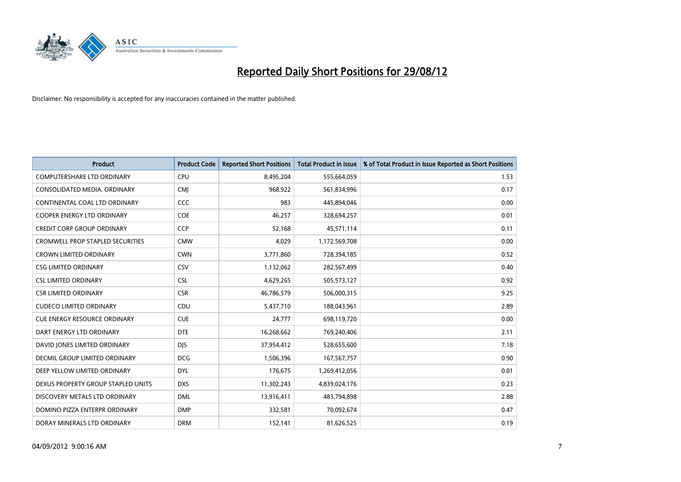

| <b>Product</b>                          | <b>Product Code</b> | <b>Reported Short Positions</b> | <b>Total Product in Issue</b> | % of Total Product in Issue Reported as Short Positions |
|-----------------------------------------|---------------------|---------------------------------|-------------------------------|---------------------------------------------------------|
| <b>COMPUTERSHARE LTD ORDINARY</b>       | CPU                 | 8,495,204                       | 555,664,059                   | 1.53                                                    |
| CONSOLIDATED MEDIA. ORDINARY            | <b>CMI</b>          | 968,922                         | 561,834,996                   | 0.17                                                    |
| CONTINENTAL COAL LTD ORDINARY           | CCC                 | 983                             | 445,894,046                   | 0.00                                                    |
| COOPER ENERGY LTD ORDINARY              | <b>COE</b>          | 46,257                          | 328,694,257                   | 0.01                                                    |
| <b>CREDIT CORP GROUP ORDINARY</b>       | <b>CCP</b>          | 52,168                          | 45,571,114                    | 0.11                                                    |
| <b>CROMWELL PROP STAPLED SECURITIES</b> | <b>CMW</b>          | 4,029                           | 1,172,569,708                 | 0.00                                                    |
| <b>CROWN LIMITED ORDINARY</b>           | <b>CWN</b>          | 3,771,860                       | 728,394,185                   | 0.52                                                    |
| <b>CSG LIMITED ORDINARY</b>             | CSV                 | 1,132,062                       | 282,567,499                   | 0.40                                                    |
| <b>CSL LIMITED ORDINARY</b>             | <b>CSL</b>          | 4,629,265                       | 505,573,127                   | 0.92                                                    |
| <b>CSR LIMITED ORDINARY</b>             | <b>CSR</b>          | 46,786,579                      | 506,000,315                   | 9.25                                                    |
| <b>CUDECO LIMITED ORDINARY</b>          | CDU                 | 5,437,710                       | 188,043,961                   | 2.89                                                    |
| <b>CUE ENERGY RESOURCE ORDINARY</b>     | <b>CUE</b>          | 24,777                          | 698,119,720                   | 0.00                                                    |
| DART ENERGY LTD ORDINARY                | <b>DTE</b>          | 16,268,662                      | 769,240,406                   | 2.11                                                    |
| DAVID JONES LIMITED ORDINARY            | <b>DIS</b>          | 37,954,412                      | 528,655,600                   | 7.18                                                    |
| DECMIL GROUP LIMITED ORDINARY           | <b>DCG</b>          | 1,506,396                       | 167,567,757                   | 0.90                                                    |
| DEEP YELLOW LIMITED ORDINARY            | <b>DYL</b>          | 176,675                         | 1,269,412,056                 | 0.01                                                    |
| DEXUS PROPERTY GROUP STAPLED UNITS      | <b>DXS</b>          | 11,302,243                      | 4,839,024,176                 | 0.23                                                    |
| DISCOVERY METALS LTD ORDINARY           | <b>DML</b>          | 13,916,411                      | 483,794,898                   | 2.88                                                    |
| DOMINO PIZZA ENTERPR ORDINARY           | <b>DMP</b>          | 332,581                         | 70,092,674                    | 0.47                                                    |
| DORAY MINERALS LTD ORDINARY             | <b>DRM</b>          | 152,141                         | 81,626,525                    | 0.19                                                    |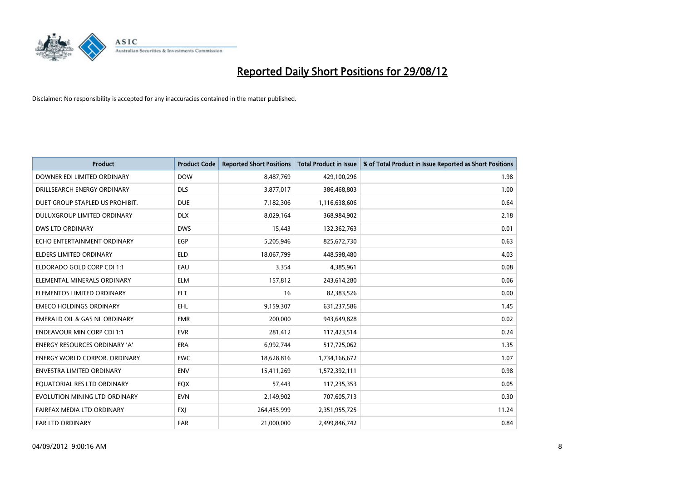

| <b>Product</b>                           | <b>Product Code</b> | <b>Reported Short Positions</b> | <b>Total Product in Issue</b> | % of Total Product in Issue Reported as Short Positions |
|------------------------------------------|---------------------|---------------------------------|-------------------------------|---------------------------------------------------------|
| DOWNER EDI LIMITED ORDINARY              | <b>DOW</b>          | 8,487,769                       | 429,100,296                   | 1.98                                                    |
| DRILLSEARCH ENERGY ORDINARY              | <b>DLS</b>          | 3,877,017                       | 386,468,803                   | 1.00                                                    |
| DUET GROUP STAPLED US PROHIBIT.          | <b>DUE</b>          | 7,182,306                       | 1,116,638,606                 | 0.64                                                    |
| DULUXGROUP LIMITED ORDINARY              | <b>DLX</b>          | 8,029,164                       | 368,984,902                   | 2.18                                                    |
| <b>DWS LTD ORDINARY</b>                  | <b>DWS</b>          | 15,443                          | 132,362,763                   | 0.01                                                    |
| ECHO ENTERTAINMENT ORDINARY              | EGP                 | 5,205,946                       | 825,672,730                   | 0.63                                                    |
| ELDERS LIMITED ORDINARY                  | <b>ELD</b>          | 18,067,799                      | 448,598,480                   | 4.03                                                    |
| ELDORADO GOLD CORP CDI 1:1               | EAU                 | 3,354                           | 4,385,961                     | 0.08                                                    |
| ELEMENTAL MINERALS ORDINARY              | <b>ELM</b>          | 157,812                         | 243,614,280                   | 0.06                                                    |
| ELEMENTOS LIMITED ORDINARY               | <b>ELT</b>          | 16                              | 82,383,526                    | 0.00                                                    |
| <b>EMECO HOLDINGS ORDINARY</b>           | <b>EHL</b>          | 9,159,307                       | 631,237,586                   | 1.45                                                    |
| <b>EMERALD OIL &amp; GAS NL ORDINARY</b> | <b>EMR</b>          | 200,000                         | 943,649,828                   | 0.02                                                    |
| <b>ENDEAVOUR MIN CORP CDI 1:1</b>        | <b>EVR</b>          | 281,412                         | 117,423,514                   | 0.24                                                    |
| <b>ENERGY RESOURCES ORDINARY 'A'</b>     | <b>ERA</b>          | 6,992,744                       | 517,725,062                   | 1.35                                                    |
| <b>ENERGY WORLD CORPOR, ORDINARY</b>     | <b>EWC</b>          | 18,628,816                      | 1,734,166,672                 | 1.07                                                    |
| ENVESTRA LIMITED ORDINARY                | <b>ENV</b>          | 15,411,269                      | 1,572,392,111                 | 0.98                                                    |
| EQUATORIAL RES LTD ORDINARY              | <b>EQX</b>          | 57,443                          | 117,235,353                   | 0.05                                                    |
| EVOLUTION MINING LTD ORDINARY            | <b>EVN</b>          | 2,149,902                       | 707,605,713                   | 0.30                                                    |
| FAIRFAX MEDIA LTD ORDINARY               | <b>FXI</b>          | 264,455,999                     | 2,351,955,725                 | 11.24                                                   |
| FAR LTD ORDINARY                         | <b>FAR</b>          | 21,000,000                      | 2,499,846,742                 | 0.84                                                    |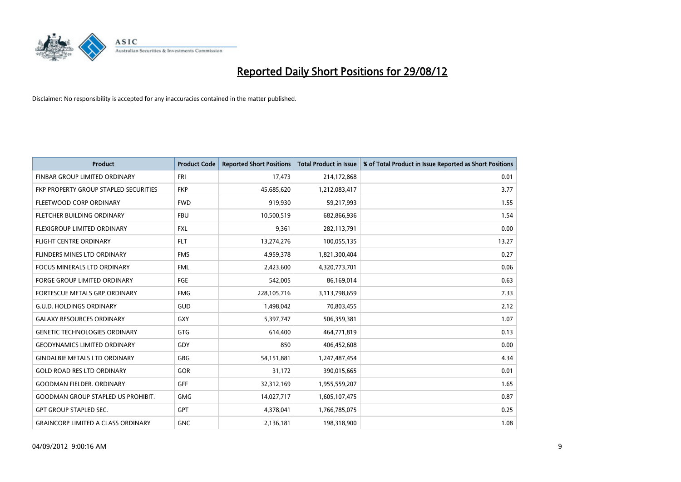

| <b>Product</b>                            | <b>Product Code</b> | <b>Reported Short Positions</b> | <b>Total Product in Issue</b> | % of Total Product in Issue Reported as Short Positions |
|-------------------------------------------|---------------------|---------------------------------|-------------------------------|---------------------------------------------------------|
| FINBAR GROUP LIMITED ORDINARY             | <b>FRI</b>          | 17,473                          | 214,172,868                   | 0.01                                                    |
| FKP PROPERTY GROUP STAPLED SECURITIES     | <b>FKP</b>          | 45,685,620                      | 1,212,083,417                 | 3.77                                                    |
| FLEETWOOD CORP ORDINARY                   | <b>FWD</b>          | 919,930                         | 59,217,993                    | 1.55                                                    |
| FLETCHER BUILDING ORDINARY                | <b>FBU</b>          | 10,500,519                      | 682,866,936                   | 1.54                                                    |
| <b>FLEXIGROUP LIMITED ORDINARY</b>        | <b>FXL</b>          | 9,361                           | 282,113,791                   | 0.00                                                    |
| <b>FLIGHT CENTRE ORDINARY</b>             | <b>FLT</b>          | 13,274,276                      | 100,055,135                   | 13.27                                                   |
| FLINDERS MINES LTD ORDINARY               | <b>FMS</b>          | 4,959,378                       | 1,821,300,404                 | 0.27                                                    |
| <b>FOCUS MINERALS LTD ORDINARY</b>        | <b>FML</b>          | 2,423,600                       | 4,320,773,701                 | 0.06                                                    |
| FORGE GROUP LIMITED ORDINARY              | FGE                 | 542,005                         | 86,169,014                    | 0.63                                                    |
| FORTESCUE METALS GRP ORDINARY             | <b>FMG</b>          | 228,105,716                     | 3,113,798,659                 | 7.33                                                    |
| <b>G.U.D. HOLDINGS ORDINARY</b>           | GUD                 | 1,498,042                       | 70,803,455                    | 2.12                                                    |
| <b>GALAXY RESOURCES ORDINARY</b>          | <b>GXY</b>          | 5,397,747                       | 506,359,381                   | 1.07                                                    |
| <b>GENETIC TECHNOLOGIES ORDINARY</b>      | <b>GTG</b>          | 614,400                         | 464,771,819                   | 0.13                                                    |
| <b>GEODYNAMICS LIMITED ORDINARY</b>       | GDY                 | 850                             | 406,452,608                   | 0.00                                                    |
| <b>GINDALBIE METALS LTD ORDINARY</b>      | <b>GBG</b>          | 54,151,881                      | 1,247,487,454                 | 4.34                                                    |
| <b>GOLD ROAD RES LTD ORDINARY</b>         | GOR                 | 31,172                          | 390,015,665                   | 0.01                                                    |
| <b>GOODMAN FIELDER, ORDINARY</b>          | <b>GFF</b>          | 32,312,169                      | 1,955,559,207                 | 1.65                                                    |
| <b>GOODMAN GROUP STAPLED US PROHIBIT.</b> | <b>GMG</b>          | 14,027,717                      | 1,605,107,475                 | 0.87                                                    |
| <b>GPT GROUP STAPLED SEC.</b>             | <b>GPT</b>          | 4,378,041                       | 1,766,785,075                 | 0.25                                                    |
| <b>GRAINCORP LIMITED A CLASS ORDINARY</b> | <b>GNC</b>          | 2,136,181                       | 198,318,900                   | 1.08                                                    |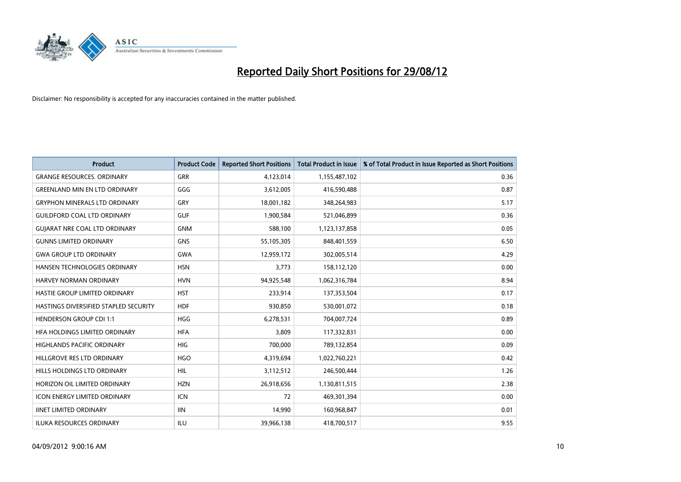

| <b>Product</b>                        | <b>Product Code</b> | <b>Reported Short Positions</b> | <b>Total Product in Issue</b> | % of Total Product in Issue Reported as Short Positions |
|---------------------------------------|---------------------|---------------------------------|-------------------------------|---------------------------------------------------------|
| <b>GRANGE RESOURCES, ORDINARY</b>     | <b>GRR</b>          | 4,123,014                       | 1,155,487,102                 | 0.36                                                    |
| <b>GREENLAND MIN EN LTD ORDINARY</b>  | GGG                 | 3,612,005                       | 416,590,488                   | 0.87                                                    |
| <b>GRYPHON MINERALS LTD ORDINARY</b>  | GRY                 | 18,001,182                      | 348,264,983                   | 5.17                                                    |
| <b>GUILDFORD COAL LTD ORDINARY</b>    | <b>GUF</b>          | 1,900,584                       | 521,046,899                   | 0.36                                                    |
| <b>GUIARAT NRE COAL LTD ORDINARY</b>  | <b>GNM</b>          | 588,100                         | 1,123,137,858                 | 0.05                                                    |
| <b>GUNNS LIMITED ORDINARY</b>         | <b>GNS</b>          | 55,105,305                      | 848,401,559                   | 6.50                                                    |
| <b>GWA GROUP LTD ORDINARY</b>         | <b>GWA</b>          | 12,959,172                      | 302,005,514                   | 4.29                                                    |
| HANSEN TECHNOLOGIES ORDINARY          | <b>HSN</b>          | 3,773                           | 158,112,120                   | 0.00                                                    |
| HARVEY NORMAN ORDINARY                | <b>HVN</b>          | 94,925,548                      | 1,062,316,784                 | 8.94                                                    |
| <b>HASTIE GROUP LIMITED ORDINARY</b>  | <b>HST</b>          | 233,914                         | 137,353,504                   | 0.17                                                    |
| HASTINGS DIVERSIFIED STAPLED SECURITY | <b>HDF</b>          | 930,850                         | 530,001,072                   | 0.18                                                    |
| <b>HENDERSON GROUP CDI 1:1</b>        | <b>HGG</b>          | 6,278,531                       | 704,007,724                   | 0.89                                                    |
| HFA HOLDINGS LIMITED ORDINARY         | <b>HFA</b>          | 3,809                           | 117,332,831                   | 0.00                                                    |
| <b>HIGHLANDS PACIFIC ORDINARY</b>     | <b>HIG</b>          | 700,000                         | 789,132,854                   | 0.09                                                    |
| HILLGROVE RES LTD ORDINARY            | <b>HGO</b>          | 4,319,694                       | 1,022,760,221                 | 0.42                                                    |
| HILLS HOLDINGS LTD ORDINARY           | <b>HIL</b>          | 3,112,512                       | 246,500,444                   | 1.26                                                    |
| HORIZON OIL LIMITED ORDINARY          | <b>HZN</b>          | 26,918,656                      | 1,130,811,515                 | 2.38                                                    |
| ICON ENERGY LIMITED ORDINARY          | <b>ICN</b>          | 72                              | 469,301,394                   | 0.00                                                    |
| <b>IINET LIMITED ORDINARY</b>         | <b>IIN</b>          | 14,990                          | 160,968,847                   | 0.01                                                    |
| ILUKA RESOURCES ORDINARY              | ILU                 | 39,966,138                      | 418,700,517                   | 9.55                                                    |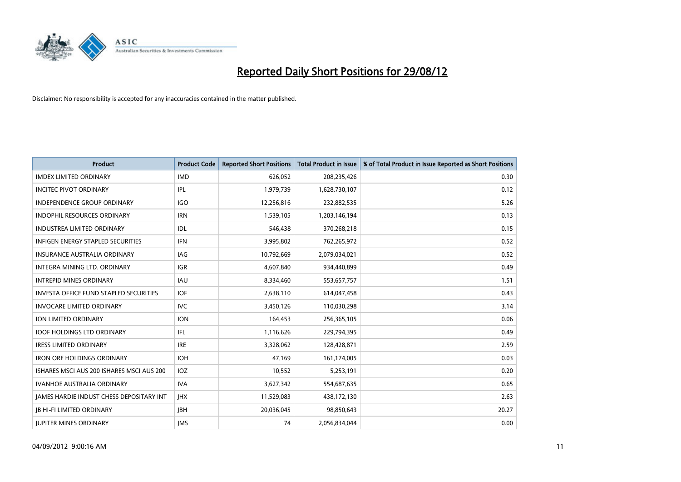

| <b>Product</b>                                | <b>Product Code</b> | <b>Reported Short Positions</b> | <b>Total Product in Issue</b> | % of Total Product in Issue Reported as Short Positions |
|-----------------------------------------------|---------------------|---------------------------------|-------------------------------|---------------------------------------------------------|
| <b>IMDEX LIMITED ORDINARY</b>                 | <b>IMD</b>          | 626,052                         | 208,235,426                   | 0.30                                                    |
| <b>INCITEC PIVOT ORDINARY</b>                 | IPL                 | 1,979,739                       | 1,628,730,107                 | 0.12                                                    |
| <b>INDEPENDENCE GROUP ORDINARY</b>            | <b>IGO</b>          | 12,256,816                      | 232,882,535                   | 5.26                                                    |
| INDOPHIL RESOURCES ORDINARY                   | <b>IRN</b>          | 1,539,105                       | 1,203,146,194                 | 0.13                                                    |
| <b>INDUSTREA LIMITED ORDINARY</b>             | IDL                 | 546,438                         | 370,268,218                   | 0.15                                                    |
| <b>INFIGEN ENERGY STAPLED SECURITIES</b>      | <b>IFN</b>          | 3,995,802                       | 762,265,972                   | 0.52                                                    |
| INSURANCE AUSTRALIA ORDINARY                  | IAG                 | 10,792,669                      | 2,079,034,021                 | 0.52                                                    |
| INTEGRA MINING LTD, ORDINARY                  | <b>IGR</b>          | 4,607,840                       | 934,440,899                   | 0.49                                                    |
| <b>INTREPID MINES ORDINARY</b>                | <b>IAU</b>          | 8,334,460                       | 553,657,757                   | 1.51                                                    |
| <b>INVESTA OFFICE FUND STAPLED SECURITIES</b> | <b>IOF</b>          | 2,638,110                       | 614,047,458                   | 0.43                                                    |
| <b>INVOCARE LIMITED ORDINARY</b>              | IVC                 | 3,450,126                       | 110,030,298                   | 3.14                                                    |
| <b>ION LIMITED ORDINARY</b>                   | <b>ION</b>          | 164,453                         | 256,365,105                   | 0.06                                                    |
| <b>IOOF HOLDINGS LTD ORDINARY</b>             | <b>IFL</b>          | 1,116,626                       | 229,794,395                   | 0.49                                                    |
| <b>IRESS LIMITED ORDINARY</b>                 | <b>IRE</b>          | 3,328,062                       | 128,428,871                   | 2.59                                                    |
| <b>IRON ORE HOLDINGS ORDINARY</b>             | <b>IOH</b>          | 47,169                          | 161,174,005                   | 0.03                                                    |
| ISHARES MSCI AUS 200 ISHARES MSCI AUS 200     | <b>IOZ</b>          | 10,552                          | 5,253,191                     | 0.20                                                    |
| <b>IVANHOE AUSTRALIA ORDINARY</b>             | <b>IVA</b>          | 3,627,342                       | 554,687,635                   | 0.65                                                    |
| JAMES HARDIE INDUST CHESS DEPOSITARY INT      | <b>IHX</b>          | 11,529,083                      | 438,172,130                   | 2.63                                                    |
| <b>IB HI-FI LIMITED ORDINARY</b>              | <b>IBH</b>          | 20,036,045                      | 98,850,643                    | 20.27                                                   |
| <b>IUPITER MINES ORDINARY</b>                 | <b>IMS</b>          | 74                              | 2,056,834,044                 | 0.00                                                    |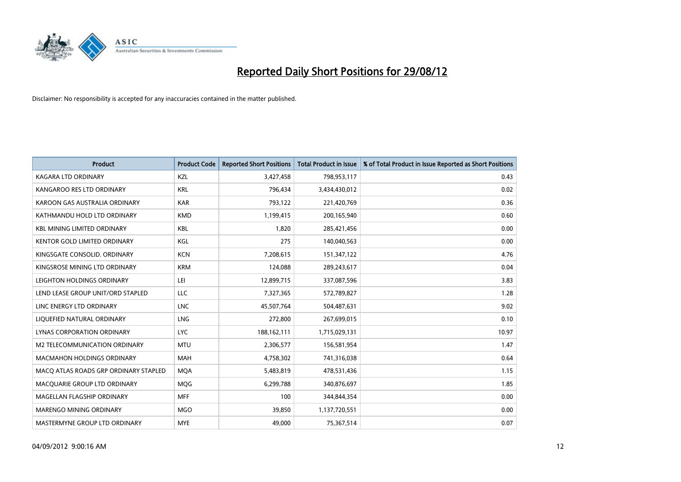

| <b>Product</b>                        | <b>Product Code</b> | <b>Reported Short Positions</b> | <b>Total Product in Issue</b> | % of Total Product in Issue Reported as Short Positions |
|---------------------------------------|---------------------|---------------------------------|-------------------------------|---------------------------------------------------------|
| <b>KAGARA LTD ORDINARY</b>            | <b>KZL</b>          | 3,427,458                       | 798,953,117                   | 0.43                                                    |
| KANGAROO RES LTD ORDINARY             | <b>KRL</b>          | 796,434                         | 3,434,430,012                 | 0.02                                                    |
| KAROON GAS AUSTRALIA ORDINARY         | <b>KAR</b>          | 793,122                         | 221,420,769                   | 0.36                                                    |
| KATHMANDU HOLD LTD ORDINARY           | <b>KMD</b>          | 1,199,415                       | 200,165,940                   | 0.60                                                    |
| <b>KBL MINING LIMITED ORDINARY</b>    | <b>KBL</b>          | 1,820                           | 285,421,456                   | 0.00                                                    |
| <b>KENTOR GOLD LIMITED ORDINARY</b>   | KGL                 | 275                             | 140,040,563                   | 0.00                                                    |
| KINGSGATE CONSOLID. ORDINARY          | <b>KCN</b>          | 7,208,615                       | 151,347,122                   | 4.76                                                    |
| KINGSROSE MINING LTD ORDINARY         | <b>KRM</b>          | 124,088                         | 289,243,617                   | 0.04                                                    |
| LEIGHTON HOLDINGS ORDINARY            | LEI                 | 12,899,715                      | 337,087,596                   | 3.83                                                    |
| LEND LEASE GROUP UNIT/ORD STAPLED     | LLC                 | 7,327,365                       | 572,789,827                   | 1.28                                                    |
| LINC ENERGY LTD ORDINARY              | <b>LNC</b>          | 45,507,764                      | 504,487,631                   | 9.02                                                    |
| LIQUEFIED NATURAL ORDINARY            | <b>LNG</b>          | 272,800                         | 267,699,015                   | 0.10                                                    |
| LYNAS CORPORATION ORDINARY            | <b>LYC</b>          | 188, 162, 111                   | 1,715,029,131                 | 10.97                                                   |
| M2 TELECOMMUNICATION ORDINARY         | <b>MTU</b>          | 2,306,577                       | 156,581,954                   | 1.47                                                    |
| <b>MACMAHON HOLDINGS ORDINARY</b>     | <b>MAH</b>          | 4,758,302                       | 741,316,038                   | 0.64                                                    |
| MACQ ATLAS ROADS GRP ORDINARY STAPLED | <b>MOA</b>          | 5,483,819                       | 478,531,436                   | 1.15                                                    |
| MACQUARIE GROUP LTD ORDINARY          | <b>MOG</b>          | 6,299,788                       | 340,876,697                   | 1.85                                                    |
| MAGELLAN FLAGSHIP ORDINARY            | <b>MFF</b>          | 100                             | 344,844,354                   | 0.00                                                    |
| <b>MARENGO MINING ORDINARY</b>        | <b>MGO</b>          | 39,850                          | 1,137,720,551                 | 0.00                                                    |
| MASTERMYNE GROUP LTD ORDINARY         | <b>MYE</b>          | 49,000                          | 75,367,514                    | 0.07                                                    |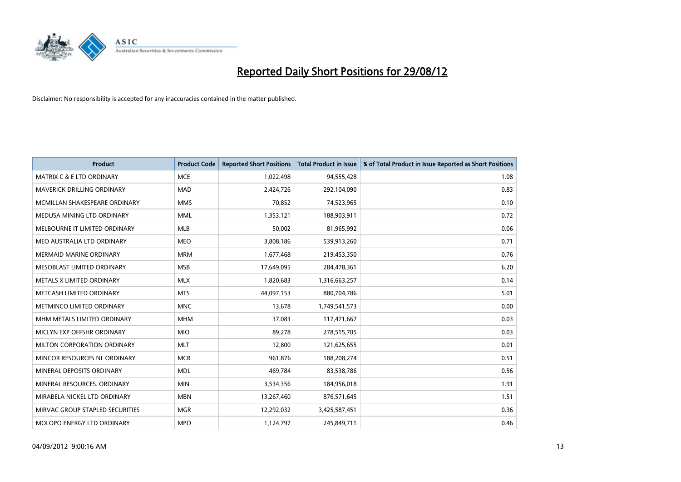

| <b>Product</b>                       | <b>Product Code</b> | <b>Reported Short Positions</b> | <b>Total Product in Issue</b> | % of Total Product in Issue Reported as Short Positions |
|--------------------------------------|---------------------|---------------------------------|-------------------------------|---------------------------------------------------------|
| <b>MATRIX C &amp; E LTD ORDINARY</b> | <b>MCE</b>          | 1,022,498                       | 94,555,428                    | 1.08                                                    |
| MAVERICK DRILLING ORDINARY           | <b>MAD</b>          | 2,424,726                       | 292,104,090                   | 0.83                                                    |
| MCMILLAN SHAKESPEARE ORDINARY        | <b>MMS</b>          | 70,852                          | 74,523,965                    | 0.10                                                    |
| MEDUSA MINING LTD ORDINARY           | <b>MML</b>          | 1,353,121                       | 188,903,911                   | 0.72                                                    |
| MELBOURNE IT LIMITED ORDINARY        | <b>MLB</b>          | 50,002                          | 81,965,992                    | 0.06                                                    |
| MEO AUSTRALIA LTD ORDINARY           | <b>MEO</b>          | 3,808,186                       | 539,913,260                   | 0.71                                                    |
| <b>MERMAID MARINE ORDINARY</b>       | <b>MRM</b>          | 1,677,468                       | 219,453,350                   | 0.76                                                    |
| MESOBLAST LIMITED ORDINARY           | <b>MSB</b>          | 17,649,095                      | 284,478,361                   | 6.20                                                    |
| METALS X LIMITED ORDINARY            | <b>MLX</b>          | 1,820,683                       | 1,316,663,257                 | 0.14                                                    |
| METCASH LIMITED ORDINARY             | <b>MTS</b>          | 44,097,153                      | 880,704,786                   | 5.01                                                    |
| METMINCO LIMITED ORDINARY            | <b>MNC</b>          | 13,678                          | 1,749,541,573                 | 0.00                                                    |
| MHM METALS LIMITED ORDINARY          | <b>MHM</b>          | 37,083                          | 117,471,667                   | 0.03                                                    |
| MICLYN EXP OFFSHR ORDINARY           | <b>MIO</b>          | 89,278                          | 278,515,705                   | 0.03                                                    |
| MILTON CORPORATION ORDINARY          | <b>MLT</b>          | 12,800                          | 121,625,655                   | 0.01                                                    |
| MINCOR RESOURCES NL ORDINARY         | <b>MCR</b>          | 961,876                         | 188,208,274                   | 0.51                                                    |
| MINERAL DEPOSITS ORDINARY            | <b>MDL</b>          | 469,784                         | 83,538,786                    | 0.56                                                    |
| MINERAL RESOURCES. ORDINARY          | <b>MIN</b>          | 3,534,356                       | 184,956,018                   | 1.91                                                    |
| MIRABELA NICKEL LTD ORDINARY         | <b>MBN</b>          | 13,267,460                      | 876,571,645                   | 1.51                                                    |
| MIRVAC GROUP STAPLED SECURITIES      | <b>MGR</b>          | 12,292,032                      | 3,425,587,451                 | 0.36                                                    |
| MOLOPO ENERGY LTD ORDINARY           | <b>MPO</b>          | 1,124,797                       | 245,849,711                   | 0.46                                                    |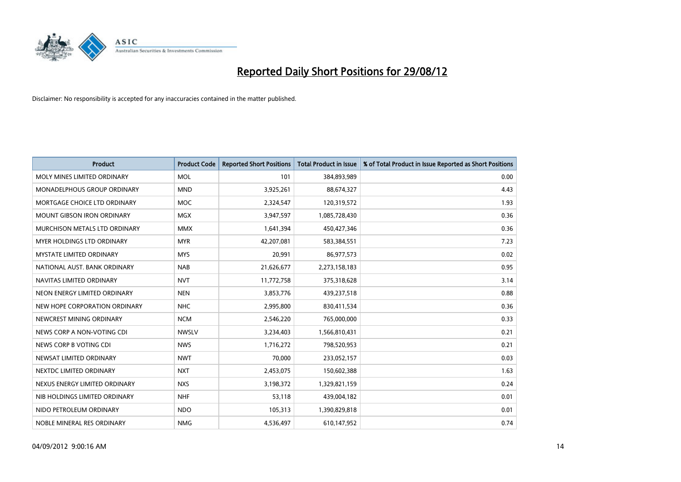

| <b>Product</b>                       | <b>Product Code</b> | <b>Reported Short Positions</b> | <b>Total Product in Issue</b> | % of Total Product in Issue Reported as Short Positions |
|--------------------------------------|---------------------|---------------------------------|-------------------------------|---------------------------------------------------------|
| MOLY MINES LIMITED ORDINARY          | <b>MOL</b>          | 101                             | 384,893,989                   | 0.00                                                    |
| MONADELPHOUS GROUP ORDINARY          | <b>MND</b>          | 3,925,261                       | 88,674,327                    | 4.43                                                    |
| MORTGAGE CHOICE LTD ORDINARY         | <b>MOC</b>          | 2,324,547                       | 120,319,572                   | 1.93                                                    |
| MOUNT GIBSON IRON ORDINARY           | <b>MGX</b>          | 3,947,597                       | 1,085,728,430                 | 0.36                                                    |
| <b>MURCHISON METALS LTD ORDINARY</b> | <b>MMX</b>          | 1,641,394                       | 450,427,346                   | 0.36                                                    |
| <b>MYER HOLDINGS LTD ORDINARY</b>    | <b>MYR</b>          | 42,207,081                      | 583,384,551                   | 7.23                                                    |
| <b>MYSTATE LIMITED ORDINARY</b>      | <b>MYS</b>          | 20,991                          | 86,977,573                    | 0.02                                                    |
| NATIONAL AUST, BANK ORDINARY         | <b>NAB</b>          | 21,626,677                      | 2,273,158,183                 | 0.95                                                    |
| NAVITAS LIMITED ORDINARY             | <b>NVT</b>          | 11,772,758                      | 375,318,628                   | 3.14                                                    |
| NEON ENERGY LIMITED ORDINARY         | <b>NEN</b>          | 3,853,776                       | 439,237,518                   | 0.88                                                    |
| NEW HOPE CORPORATION ORDINARY        | <b>NHC</b>          | 2,995,800                       | 830,411,534                   | 0.36                                                    |
| NEWCREST MINING ORDINARY             | <b>NCM</b>          | 2,546,220                       | 765,000,000                   | 0.33                                                    |
| NEWS CORP A NON-VOTING CDI           | <b>NWSLV</b>        | 3,234,403                       | 1,566,810,431                 | 0.21                                                    |
| NEWS CORP B VOTING CDI               | <b>NWS</b>          | 1,716,272                       | 798,520,953                   | 0.21                                                    |
| NEWSAT LIMITED ORDINARY              | <b>NWT</b>          | 70,000                          | 233,052,157                   | 0.03                                                    |
| NEXTDC LIMITED ORDINARY              | <b>NXT</b>          | 2,453,075                       | 150,602,388                   | 1.63                                                    |
| NEXUS ENERGY LIMITED ORDINARY        | <b>NXS</b>          | 3,198,372                       | 1,329,821,159                 | 0.24                                                    |
| NIB HOLDINGS LIMITED ORDINARY        | <b>NHF</b>          | 53,118                          | 439,004,182                   | 0.01                                                    |
| NIDO PETROLEUM ORDINARY              | <b>NDO</b>          | 105,313                         | 1,390,829,818                 | 0.01                                                    |
| NOBLE MINERAL RES ORDINARY           | <b>NMG</b>          | 4,536,497                       | 610,147,952                   | 0.74                                                    |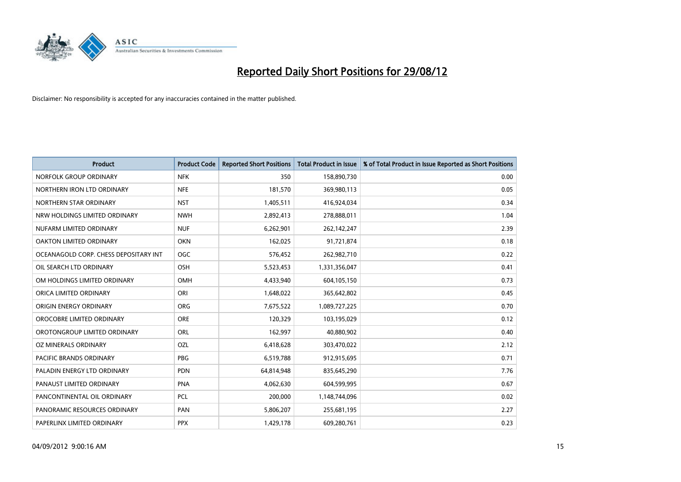

| <b>Product</b>                        | <b>Product Code</b> | <b>Reported Short Positions</b> | <b>Total Product in Issue</b> | % of Total Product in Issue Reported as Short Positions |
|---------------------------------------|---------------------|---------------------------------|-------------------------------|---------------------------------------------------------|
| NORFOLK GROUP ORDINARY                | <b>NFK</b>          | 350                             | 158,890,730                   | 0.00                                                    |
| NORTHERN IRON LTD ORDINARY            | <b>NFE</b>          | 181,570                         | 369,980,113                   | 0.05                                                    |
| NORTHERN STAR ORDINARY                | <b>NST</b>          | 1,405,511                       | 416,924,034                   | 0.34                                                    |
| NRW HOLDINGS LIMITED ORDINARY         | <b>NWH</b>          | 2,892,413                       | 278,888,011                   | 1.04                                                    |
| NUFARM LIMITED ORDINARY               | <b>NUF</b>          | 6,262,901                       | 262,142,247                   | 2.39                                                    |
| OAKTON LIMITED ORDINARY               | <b>OKN</b>          | 162,025                         | 91,721,874                    | 0.18                                                    |
| OCEANAGOLD CORP. CHESS DEPOSITARY INT | <b>OGC</b>          | 576,452                         | 262,982,710                   | 0.22                                                    |
| OIL SEARCH LTD ORDINARY               | OSH                 | 5,523,453                       | 1,331,356,047                 | 0.41                                                    |
| OM HOLDINGS LIMITED ORDINARY          | <b>OMH</b>          | 4,433,940                       | 604,105,150                   | 0.73                                                    |
| ORICA LIMITED ORDINARY                | ORI                 | 1,648,022                       | 365,642,802                   | 0.45                                                    |
| ORIGIN ENERGY ORDINARY                | <b>ORG</b>          | 7,675,522                       | 1,089,727,225                 | 0.70                                                    |
| OROCOBRE LIMITED ORDINARY             | <b>ORE</b>          | 120,329                         | 103,195,029                   | 0.12                                                    |
| OROTONGROUP LIMITED ORDINARY          | <b>ORL</b>          | 162,997                         | 40,880,902                    | 0.40                                                    |
| OZ MINERALS ORDINARY                  | OZL                 | 6,418,628                       | 303,470,022                   | 2.12                                                    |
| <b>PACIFIC BRANDS ORDINARY</b>        | <b>PBG</b>          | 6,519,788                       | 912,915,695                   | 0.71                                                    |
| PALADIN ENERGY LTD ORDINARY           | <b>PDN</b>          | 64,814,948                      | 835,645,290                   | 7.76                                                    |
| PANAUST LIMITED ORDINARY              | <b>PNA</b>          | 4,062,630                       | 604,599,995                   | 0.67                                                    |
| PANCONTINENTAL OIL ORDINARY           | PCL                 | 200,000                         | 1,148,744,096                 | 0.02                                                    |
| PANORAMIC RESOURCES ORDINARY          | PAN                 | 5,806,207                       | 255,681,195                   | 2.27                                                    |
| PAPERLINX LIMITED ORDINARY            | <b>PPX</b>          | 1,429,178                       | 609,280,761                   | 0.23                                                    |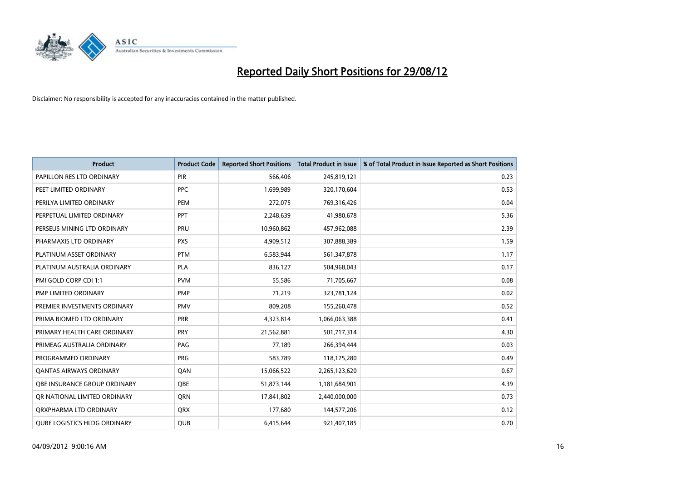

| <b>Product</b>                      | <b>Product Code</b> | <b>Reported Short Positions</b> | <b>Total Product in Issue</b> | % of Total Product in Issue Reported as Short Positions |
|-------------------------------------|---------------------|---------------------------------|-------------------------------|---------------------------------------------------------|
| PAPILLON RES LTD ORDINARY           | PIR                 | 566,406                         | 245,819,121                   | 0.23                                                    |
| PEET LIMITED ORDINARY               | <b>PPC</b>          | 1,699,989                       | 320,170,604                   | 0.53                                                    |
| PERILYA LIMITED ORDINARY            | PEM                 | 272,075                         | 769,316,426                   | 0.04                                                    |
| PERPETUAL LIMITED ORDINARY          | <b>PPT</b>          | 2,248,639                       | 41,980,678                    | 5.36                                                    |
| PERSEUS MINING LTD ORDINARY         | PRU                 | 10,960,862                      | 457,962,088                   | 2.39                                                    |
| PHARMAXIS LTD ORDINARY              | <b>PXS</b>          | 4,909,512                       | 307,888,389                   | 1.59                                                    |
| PLATINUM ASSET ORDINARY             | <b>PTM</b>          | 6,583,944                       | 561,347,878                   | 1.17                                                    |
| PLATINUM AUSTRALIA ORDINARY         | <b>PLA</b>          | 836,127                         | 504,968,043                   | 0.17                                                    |
| PMI GOLD CORP CDI 1:1               | <b>PVM</b>          | 55,586                          | 71,705,667                    | 0.08                                                    |
| PMP LIMITED ORDINARY                | <b>PMP</b>          | 71,219                          | 323,781,124                   | 0.02                                                    |
| PREMIER INVESTMENTS ORDINARY        | <b>PMV</b>          | 809,208                         | 155,260,478                   | 0.52                                                    |
| PRIMA BIOMED LTD ORDINARY           | PRR                 | 4,323,814                       | 1,066,063,388                 | 0.41                                                    |
| PRIMARY HEALTH CARE ORDINARY        | <b>PRY</b>          | 21,562,881                      | 501,717,314                   | 4.30                                                    |
| PRIMEAG AUSTRALIA ORDINARY          | PAG                 | 77,189                          | 266,394,444                   | 0.03                                                    |
| PROGRAMMED ORDINARY                 | <b>PRG</b>          | 583,789                         | 118,175,280                   | 0.49                                                    |
| <b>QANTAS AIRWAYS ORDINARY</b>      | QAN                 | 15,066,522                      | 2,265,123,620                 | 0.67                                                    |
| <b>OBE INSURANCE GROUP ORDINARY</b> | <b>OBE</b>          | 51,873,144                      | 1,181,684,901                 | 4.39                                                    |
| OR NATIONAL LIMITED ORDINARY        | <b>ORN</b>          | 17,841,802                      | 2,440,000,000                 | 0.73                                                    |
| ORXPHARMA LTD ORDINARY              | <b>QRX</b>          | 177,680                         | 144,577,206                   | 0.12                                                    |
| <b>OUBE LOGISTICS HLDG ORDINARY</b> | <b>QUB</b>          | 6,415,644                       | 921,407,185                   | 0.70                                                    |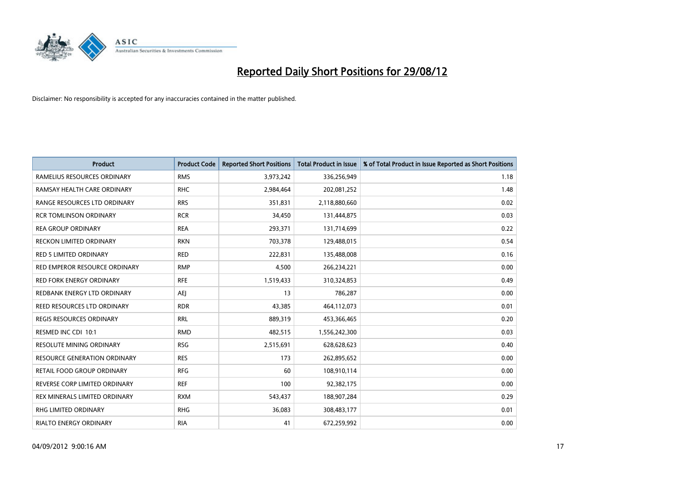

| <b>Product</b>                      | <b>Product Code</b> | <b>Reported Short Positions</b> | <b>Total Product in Issue</b> | % of Total Product in Issue Reported as Short Positions |
|-------------------------------------|---------------------|---------------------------------|-------------------------------|---------------------------------------------------------|
| RAMELIUS RESOURCES ORDINARY         | <b>RMS</b>          | 3,973,242                       | 336,256,949                   | 1.18                                                    |
| RAMSAY HEALTH CARE ORDINARY         | <b>RHC</b>          | 2,984,464                       | 202,081,252                   | 1.48                                                    |
| RANGE RESOURCES LTD ORDINARY        | <b>RRS</b>          | 351,831                         | 2,118,880,660                 | 0.02                                                    |
| <b>RCR TOMLINSON ORDINARY</b>       | <b>RCR</b>          | 34,450                          | 131,444,875                   | 0.03                                                    |
| <b>REA GROUP ORDINARY</b>           | <b>REA</b>          | 293,371                         | 131,714,699                   | 0.22                                                    |
| <b>RECKON LIMITED ORDINARY</b>      | <b>RKN</b>          | 703,378                         | 129,488,015                   | 0.54                                                    |
| <b>RED 5 LIMITED ORDINARY</b>       | <b>RED</b>          | 222,831                         | 135,488,008                   | 0.16                                                    |
| RED EMPEROR RESOURCE ORDINARY       | <b>RMP</b>          | 4,500                           | 266,234,221                   | 0.00                                                    |
| <b>RED FORK ENERGY ORDINARY</b>     | <b>RFE</b>          | 1,519,433                       | 310,324,853                   | 0.49                                                    |
| REDBANK ENERGY LTD ORDINARY         | <b>AEI</b>          | 13                              | 786,287                       | 0.00                                                    |
| REED RESOURCES LTD ORDINARY         | <b>RDR</b>          | 43,385                          | 464,112,073                   | 0.01                                                    |
| <b>REGIS RESOURCES ORDINARY</b>     | <b>RRL</b>          | 889,319                         | 453,366,465                   | 0.20                                                    |
| RESMED INC CDI 10:1                 | <b>RMD</b>          | 482,515                         | 1,556,242,300                 | 0.03                                                    |
| RESOLUTE MINING ORDINARY            | <b>RSG</b>          | 2,515,691                       | 628,628,623                   | 0.40                                                    |
| <b>RESOURCE GENERATION ORDINARY</b> | <b>RES</b>          | 173                             | 262,895,652                   | 0.00                                                    |
| RETAIL FOOD GROUP ORDINARY          | <b>RFG</b>          | 60                              | 108,910,114                   | 0.00                                                    |
| REVERSE CORP LIMITED ORDINARY       | <b>REF</b>          | 100                             | 92,382,175                    | 0.00                                                    |
| REX MINERALS LIMITED ORDINARY       | <b>RXM</b>          | 543,437                         | 188,907,284                   | 0.29                                                    |
| RHG LIMITED ORDINARY                | <b>RHG</b>          | 36,083                          | 308,483,177                   | 0.01                                                    |
| RIALTO ENERGY ORDINARY              | <b>RIA</b>          | 41                              | 672,259,992                   | 0.00                                                    |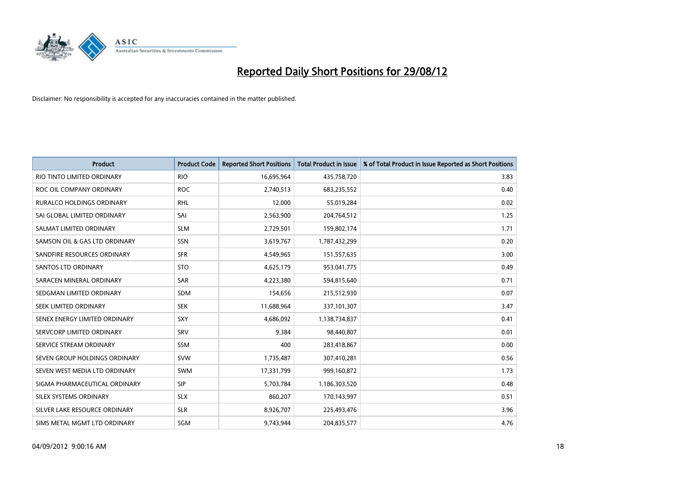

| <b>Product</b>                   | <b>Product Code</b> | <b>Reported Short Positions</b> | <b>Total Product in Issue</b> | % of Total Product in Issue Reported as Short Positions |
|----------------------------------|---------------------|---------------------------------|-------------------------------|---------------------------------------------------------|
| RIO TINTO LIMITED ORDINARY       | <b>RIO</b>          | 16,695,964                      | 435,758,720                   | 3.83                                                    |
| ROC OIL COMPANY ORDINARY         | <b>ROC</b>          | 2,740,513                       | 683,235,552                   | 0.40                                                    |
| <b>RURALCO HOLDINGS ORDINARY</b> | <b>RHL</b>          | 12,000                          | 55,019,284                    | 0.02                                                    |
| SAI GLOBAL LIMITED ORDINARY      | SAI                 | 2,563,900                       | 204,764,512                   | 1.25                                                    |
| SALMAT LIMITED ORDINARY          | <b>SLM</b>          | 2,729,501                       | 159,802,174                   | 1.71                                                    |
| SAMSON OIL & GAS LTD ORDINARY    | <b>SSN</b>          | 3,619,767                       | 1,787,432,299                 | 0.20                                                    |
| SANDFIRE RESOURCES ORDINARY      | <b>SFR</b>          | 4,549,965                       | 151,557,635                   | 3.00                                                    |
| <b>SANTOS LTD ORDINARY</b>       | <b>STO</b>          | 4,625,179                       | 953,041,775                   | 0.49                                                    |
| SARACEN MINERAL ORDINARY         | <b>SAR</b>          | 4,223,380                       | 594,815,640                   | 0.71                                                    |
| SEDGMAN LIMITED ORDINARY         | <b>SDM</b>          | 154,656                         | 215,512,930                   | 0.07                                                    |
| SEEK LIMITED ORDINARY            | <b>SEK</b>          | 11,688,964                      | 337,101,307                   | 3.47                                                    |
| SENEX ENERGY LIMITED ORDINARY    | <b>SXY</b>          | 4,686,092                       | 1,138,734,837                 | 0.41                                                    |
| SERVCORP LIMITED ORDINARY        | SRV                 | 9,384                           | 98,440,807                    | 0.01                                                    |
| SERVICE STREAM ORDINARY          | SSM                 | 400                             | 283,418,867                   | 0.00                                                    |
| SEVEN GROUP HOLDINGS ORDINARY    | <b>SVW</b>          | 1,735,487                       | 307,410,281                   | 0.56                                                    |
| SEVEN WEST MEDIA LTD ORDINARY    | <b>SWM</b>          | 17,331,799                      | 999,160,872                   | 1.73                                                    |
| SIGMA PHARMACEUTICAL ORDINARY    | <b>SIP</b>          | 5,703,784                       | 1,186,303,520                 | 0.48                                                    |
| SILEX SYSTEMS ORDINARY           | <b>SLX</b>          | 860,207                         | 170,143,997                   | 0.51                                                    |
| SILVER LAKE RESOURCE ORDINARY    | <b>SLR</b>          | 8,926,707                       | 225,493,476                   | 3.96                                                    |
| SIMS METAL MGMT LTD ORDINARY     | SGM                 | 9,743,944                       | 204,835,577                   | 4.76                                                    |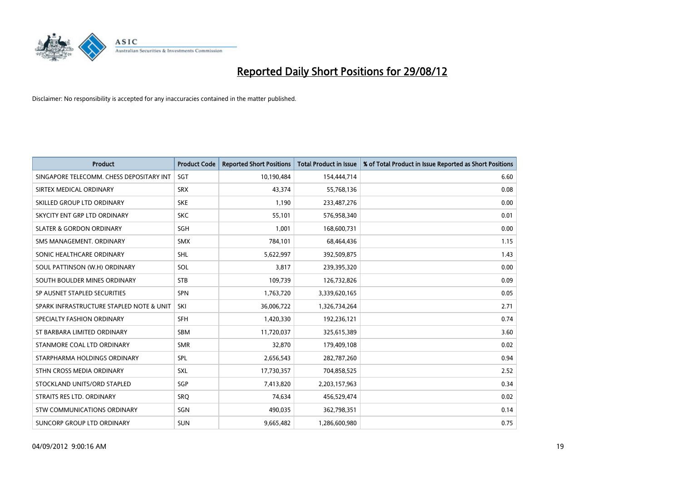

| <b>Product</b>                           | <b>Product Code</b> | <b>Reported Short Positions</b> | <b>Total Product in Issue</b> | % of Total Product in Issue Reported as Short Positions |
|------------------------------------------|---------------------|---------------------------------|-------------------------------|---------------------------------------------------------|
| SINGAPORE TELECOMM. CHESS DEPOSITARY INT | <b>SGT</b>          | 10,190,484                      | 154,444,714                   | 6.60                                                    |
| SIRTEX MEDICAL ORDINARY                  | <b>SRX</b>          | 43,374                          | 55,768,136                    | 0.08                                                    |
| SKILLED GROUP LTD ORDINARY               | <b>SKE</b>          | 1,190                           | 233,487,276                   | 0.00                                                    |
| SKYCITY ENT GRP LTD ORDINARY             | <b>SKC</b>          | 55,101                          | 576,958,340                   | 0.01                                                    |
| <b>SLATER &amp; GORDON ORDINARY</b>      | <b>SGH</b>          | 1,001                           | 168,600,731                   | 0.00                                                    |
| SMS MANAGEMENT, ORDINARY                 | <b>SMX</b>          | 784,101                         | 68,464,436                    | 1.15                                                    |
| SONIC HEALTHCARE ORDINARY                | <b>SHL</b>          | 5,622,997                       | 392,509,875                   | 1.43                                                    |
| SOUL PATTINSON (W.H) ORDINARY            | SOL                 | 3,817                           | 239,395,320                   | 0.00                                                    |
| SOUTH BOULDER MINES ORDINARY             | <b>STB</b>          | 109,739                         | 126,732,826                   | 0.09                                                    |
| SP AUSNET STAPLED SECURITIES             | <b>SPN</b>          | 1,763,720                       | 3,339,620,165                 | 0.05                                                    |
| SPARK INFRASTRUCTURE STAPLED NOTE & UNIT | SKI                 | 36,006,722                      | 1,326,734,264                 | 2.71                                                    |
| SPECIALTY FASHION ORDINARY               | <b>SFH</b>          | 1,420,330                       | 192,236,121                   | 0.74                                                    |
| ST BARBARA LIMITED ORDINARY              | <b>SBM</b>          | 11,720,037                      | 325,615,389                   | 3.60                                                    |
| STANMORE COAL LTD ORDINARY               | <b>SMR</b>          | 32,870                          | 179,409,108                   | 0.02                                                    |
| STARPHARMA HOLDINGS ORDINARY             | SPL                 | 2,656,543                       | 282,787,260                   | 0.94                                                    |
| STHN CROSS MEDIA ORDINARY                | SXL                 | 17,730,357                      | 704,858,525                   | 2.52                                                    |
| STOCKLAND UNITS/ORD STAPLED              | <b>SGP</b>          | 7,413,820                       | 2,203,157,963                 | 0.34                                                    |
| STRAITS RES LTD. ORDINARY                | SRQ                 | 74,634                          | 456,529,474                   | 0.02                                                    |
| STW COMMUNICATIONS ORDINARY              | SGN                 | 490,035                         | 362,798,351                   | 0.14                                                    |
| SUNCORP GROUP LTD ORDINARY               | <b>SUN</b>          | 9,665,482                       | 1,286,600,980                 | 0.75                                                    |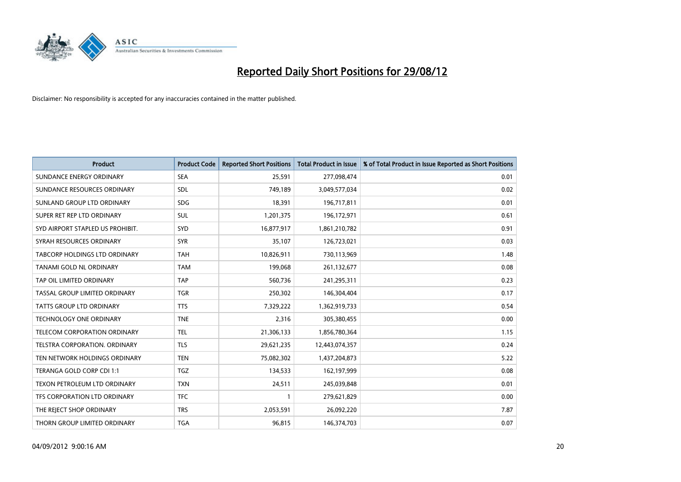

| <b>Product</b>                   | <b>Product Code</b> | <b>Reported Short Positions</b> | <b>Total Product in Issue</b> | % of Total Product in Issue Reported as Short Positions |
|----------------------------------|---------------------|---------------------------------|-------------------------------|---------------------------------------------------------|
| SUNDANCE ENERGY ORDINARY         | <b>SEA</b>          | 25,591                          | 277,098,474                   | 0.01                                                    |
| SUNDANCE RESOURCES ORDINARY      | <b>SDL</b>          | 749,189                         | 3,049,577,034                 | 0.02                                                    |
| SUNLAND GROUP LTD ORDINARY       | <b>SDG</b>          | 18,391                          | 196,717,811                   | 0.01                                                    |
| SUPER RET REP LTD ORDINARY       | <b>SUL</b>          | 1,201,375                       | 196,172,971                   | 0.61                                                    |
| SYD AIRPORT STAPLED US PROHIBIT. | <b>SYD</b>          | 16,877,917                      | 1,861,210,782                 | 0.91                                                    |
| SYRAH RESOURCES ORDINARY         | <b>SYR</b>          | 35,107                          | 126,723,021                   | 0.03                                                    |
| TABCORP HOLDINGS LTD ORDINARY    | <b>TAH</b>          | 10,826,911                      | 730,113,969                   | 1.48                                                    |
| TANAMI GOLD NL ORDINARY          | <b>TAM</b>          | 199,068                         | 261,132,677                   | 0.08                                                    |
| TAP OIL LIMITED ORDINARY         | <b>TAP</b>          | 560,736                         | 241,295,311                   | 0.23                                                    |
| TASSAL GROUP LIMITED ORDINARY    | <b>TGR</b>          | 250,302                         | 146,304,404                   | 0.17                                                    |
| TATTS GROUP LTD ORDINARY         | <b>TTS</b>          | 7,329,222                       | 1,362,919,733                 | 0.54                                                    |
| <b>TECHNOLOGY ONE ORDINARY</b>   | <b>TNE</b>          | 2,316                           | 305,380,455                   | 0.00                                                    |
| TELECOM CORPORATION ORDINARY     | <b>TEL</b>          | 21,306,133                      | 1,856,780,364                 | 1.15                                                    |
| TELSTRA CORPORATION. ORDINARY    | <b>TLS</b>          | 29,621,235                      | 12,443,074,357                | 0.24                                                    |
| TEN NETWORK HOLDINGS ORDINARY    | <b>TEN</b>          | 75,082,302                      | 1,437,204,873                 | 5.22                                                    |
| TERANGA GOLD CORP CDI 1:1        | <b>TGZ</b>          | 134,533                         | 162,197,999                   | 0.08                                                    |
| TEXON PETROLEUM LTD ORDINARY     | <b>TXN</b>          | 24,511                          | 245,039,848                   | 0.01                                                    |
| TFS CORPORATION LTD ORDINARY     | <b>TFC</b>          |                                 | 279,621,829                   | 0.00                                                    |
| THE REJECT SHOP ORDINARY         | <b>TRS</b>          | 2,053,591                       | 26,092,220                    | 7.87                                                    |
| THORN GROUP LIMITED ORDINARY     | <b>TGA</b>          | 96,815                          | 146,374,703                   | 0.07                                                    |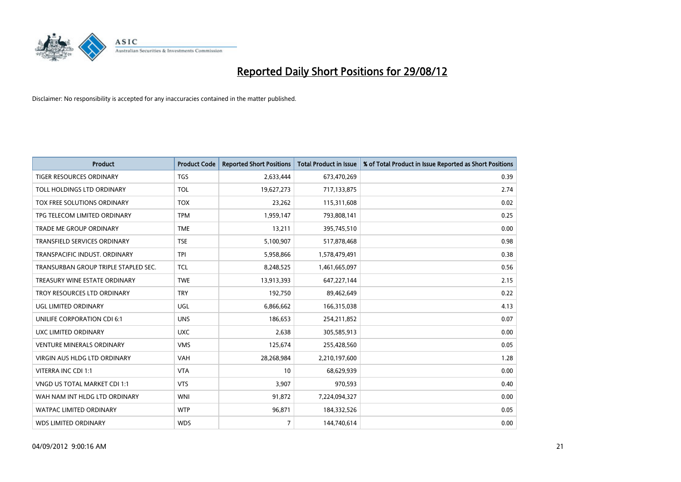

| <b>Product</b>                       | <b>Product Code</b> | <b>Reported Short Positions</b> | <b>Total Product in Issue</b> | % of Total Product in Issue Reported as Short Positions |
|--------------------------------------|---------------------|---------------------------------|-------------------------------|---------------------------------------------------------|
| <b>TIGER RESOURCES ORDINARY</b>      | <b>TGS</b>          | 2,633,444                       | 673,470,269                   | 0.39                                                    |
| TOLL HOLDINGS LTD ORDINARY           | <b>TOL</b>          | 19,627,273                      | 717,133,875                   | 2.74                                                    |
| TOX FREE SOLUTIONS ORDINARY          | <b>TOX</b>          | 23,262                          | 115,311,608                   | 0.02                                                    |
| TPG TELECOM LIMITED ORDINARY         | <b>TPM</b>          | 1,959,147                       | 793,808,141                   | 0.25                                                    |
| TRADE ME GROUP ORDINARY              | <b>TME</b>          | 13,211                          | 395,745,510                   | 0.00                                                    |
| <b>TRANSFIELD SERVICES ORDINARY</b>  | <b>TSE</b>          | 5,100,907                       | 517,878,468                   | 0.98                                                    |
| TRANSPACIFIC INDUST, ORDINARY        | <b>TPI</b>          | 5,958,866                       | 1,578,479,491                 | 0.38                                                    |
| TRANSURBAN GROUP TRIPLE STAPLED SEC. | <b>TCL</b>          | 8,248,525                       | 1,461,665,097                 | 0.56                                                    |
| TREASURY WINE ESTATE ORDINARY        | <b>TWE</b>          | 13,913,393                      | 647,227,144                   | 2.15                                                    |
| TROY RESOURCES LTD ORDINARY          | <b>TRY</b>          | 192,750                         | 89,462,649                    | 0.22                                                    |
| UGL LIMITED ORDINARY                 | UGL                 | 6,866,662                       | 166,315,038                   | 4.13                                                    |
| UNILIFE CORPORATION CDI 6:1          | <b>UNS</b>          | 186,653                         | 254,211,852                   | 0.07                                                    |
| UXC LIMITED ORDINARY                 | <b>UXC</b>          | 2,638                           | 305,585,913                   | 0.00                                                    |
| <b>VENTURE MINERALS ORDINARY</b>     | <b>VMS</b>          | 125,674                         | 255,428,560                   | 0.05                                                    |
| <b>VIRGIN AUS HLDG LTD ORDINARY</b>  | <b>VAH</b>          | 28,268,984                      | 2,210,197,600                 | 1.28                                                    |
| VITERRA INC CDI 1:1                  | <b>VTA</b>          | 10                              | 68,629,939                    | 0.00                                                    |
| VNGD US TOTAL MARKET CDI 1:1         | <b>VTS</b>          | 3,907                           | 970,593                       | 0.40                                                    |
| WAH NAM INT HLDG LTD ORDINARY        | <b>WNI</b>          | 91,872                          | 7,224,094,327                 | 0.00                                                    |
| <b>WATPAC LIMITED ORDINARY</b>       | <b>WTP</b>          | 96,871                          | 184,332,526                   | 0.05                                                    |
| <b>WDS LIMITED ORDINARY</b>          | <b>WDS</b>          | 7                               | 144,740,614                   | 0.00                                                    |